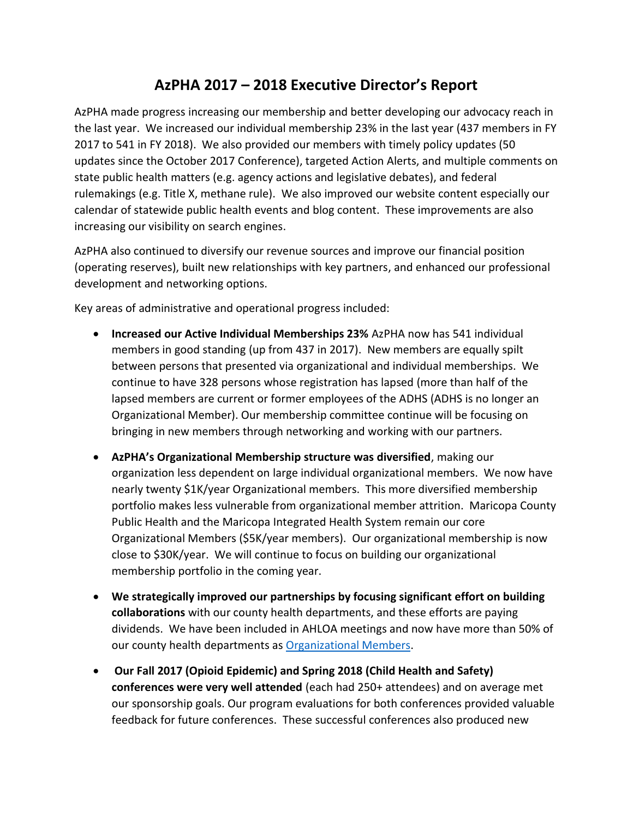## **AzPHA 2017 – 2018 Executive Director's Report**

AzPHA made progress increasing our membership and better developing our advocacy reach in the last year. We increased our individual membership 23% in the last year (437 members in FY 2017 to 541 in FY 2018). We also provided our members with timely policy updates (50 updates since the October 2017 Conference), targeted Action Alerts, and multiple comments on state public health matters (e.g. agency actions and legislative debates), and federal rulemakings (e.g. Title X, methane rule). We also improved our website content especially our calendar of statewide public health events and blog content. These improvements are also increasing our visibility on search engines.

AzPHA also continued to diversify our revenue sources and improve our financial position (operating reserves), built new relationships with key partners, and enhanced our professional development and networking options.

Key areas of administrative and operational progress included:

- **Increased our Active Individual Memberships 23%** AzPHA now has 541 individual members in good standing (up from 437 in 2017). New members are equally spilt between persons that presented via organizational and individual memberships. We continue to have 328 persons whose registration has lapsed (more than half of the lapsed members are current or former employees of the ADHS (ADHS is no longer an Organizational Member). Our membership committee continue will be focusing on bringing in new members through networking and working with our partners.
- **AzPHA's Organizational Membership structure was diversified**, making our organization less dependent on large individual organizational members. We now have nearly twenty \$1K/year Organizational members. This more diversified membership portfolio makes less vulnerable from organizational member attrition. Maricopa County Public Health and the Maricopa Integrated Health System remain our core Organizational Members (\$5K/year members). Our organizational membership is now close to \$30K/year. We will continue to focus on building our organizational membership portfolio in the coming year.
- **We strategically improved our partnerships by focusing significant effort on building collaborations** with our county health departments, and these efforts are paying dividends. We have been included in AHLOA meetings and now have more than 50% of our county health departments as [Organizational Members.](http://www.azpha.org/oursupporters/)
- **Our Fall 2017 (Opioid Epidemic) and Spring 2018 (Child Health and Safety) conferences were very well attended** (each had 250+ attendees) and on average met our sponsorship goals. Our program evaluations for both conferences provided valuable feedback for future conferences. These successful conferences also produced new